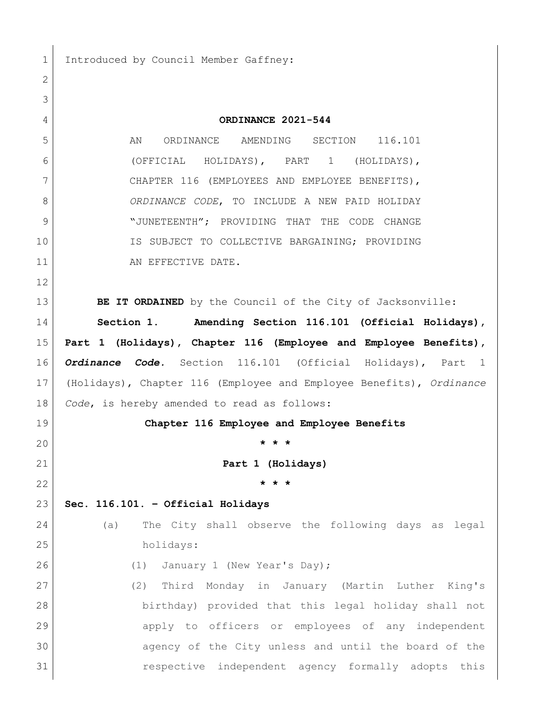1 Introduced by Council Member Gaffney:

 **ORDINANCE 2021-544** 5 AN ORDINANCE AMENDING SECTION 116.101 (OFFICIAL HOLIDAYS), PART 1 (HOLIDAYS), 7 CHAPTER 116 (EMPLOYEES AND EMPLOYEE BENEFITS), *ORDINANCE CODE*, TO INCLUDE A NEW PAID HOLIDAY 9 | "JUNETEENTH"; PROVIDING THAT THE CODE CHANGE IS SUBJECT TO COLLECTIVE BARGAINING; PROVIDING 11 AN EFFECTIVE DATE. **BE IT ORDAINED** by the Council of the City of Jacksonville: **Section 1. Amending Section 116.101 (Official Holidays), Part 1 (Holidays), Chapter 116 (Employee and Employee Benefits),**  *Ordinance Code.* Section 116.101 (Official Holidays), Part 1 (Holidays), Chapter 116 (Employee and Employee Benefits), *Ordinance Code*, is hereby amended to read as follows: **Chapter 116 Employee and Employee Benefits \* \* \* Part 1 (Holidays) \* \* \* Sec. 116.101. – Official Holidays** (a) The City shall observe the following days as legal holidays: 26 (1) January 1 (New Year's Day); (2) Third Monday in January (Martin Luther King's birthday) provided that this legal holiday shall not apply to officers or employees of any independent agency of the City unless and until the board of the respective independent agency formally adopts this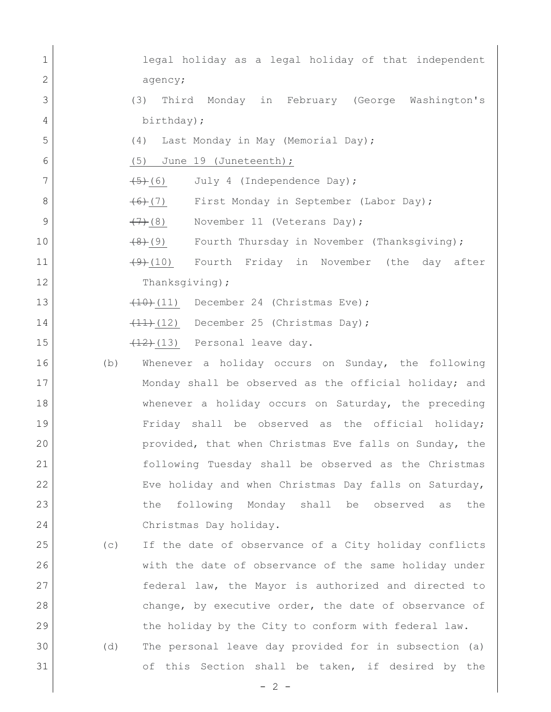| 1             |     | legal holiday as a legal holiday of that independent          |
|---------------|-----|---------------------------------------------------------------|
| 2             |     | agency;                                                       |
| 3             |     | Third Monday in February (George Washington's<br>(3)          |
| 4             |     | birthday);                                                    |
| 5             |     | (4) Last Monday in May (Memorial Day);                        |
| 6             |     | (5) June 19 (Juneteenth);                                     |
| 7             |     | July 4 (Independence Day);<br><del>(5)</del> (6)              |
| 8             |     | $(6)$ (7)<br>First Monday in September (Labor Day);           |
| $\mathcal{G}$ |     | $\left(\frac{7}{2}\right)$ (8)<br>November 11 (Veterans Day); |
| 10            |     | Fourth Thursday in November (Thanksgiving);<br>(9)            |
| 11            |     | Fourth Friday in November (the day after<br>$(9)$ (10)        |
| 12            |     | Thanksgiving);                                                |
| 13            |     | $(10)$ (11) December 24 (Christmas Eve);                      |
| 14            |     | $(11)$ (12) December 25 (Christmas Day);                      |
| 15            |     | $(12)$ (13) Personal leave day.                               |
| 16            | (b) | Whenever a holiday occurs on Sunday, the following            |
| 17            |     | Monday shall be observed as the official holiday; and         |
| 18            |     | whenever a holiday occurs on Saturday, the preceding          |
| 19            |     | Friday shall be observed as the official holiday;             |
| 20            |     | provided, that when Christmas Eve falls on Sunday, the        |
| 21            |     | following Tuesday shall be observed as the Christmas          |
| 22            |     | Eve holiday and when Christmas Day falls on Saturday,         |
| 23            |     | following Monday shall be observed as<br>the<br>the           |
| 24            |     | Christmas Day holiday.                                        |
| 25            | (C) | If the date of observance of a City holiday conflicts         |
| 26            |     | with the date of observance of the same holiday under         |
| 27            |     | federal law, the Mayor is authorized and directed to          |
| 28            |     | change, by executive order, the date of observance of         |
| 29            |     | the holiday by the City to conform with federal law.          |
| 30            | (d) | The personal leave day provided for in subsection (a)         |
| 31            |     | of this Section shall be taken, if desired by the             |
|               |     | $-2-$                                                         |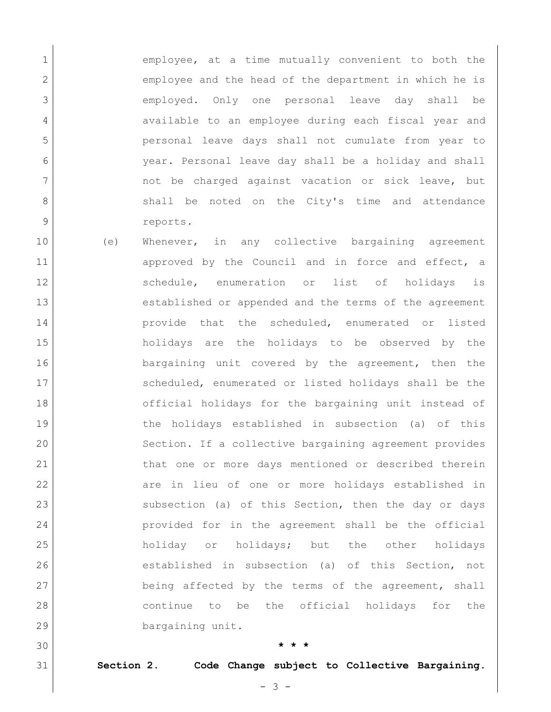1 **employee,** at a time mutually convenient to both the 2 employee and the head of the department in which he is 3 employed. Only one personal leave day shall be 4 available to an employee during each fiscal year and 5 personal leave days shall not cumulate from year to 6 year. Personal leave day shall be a holiday and shall 7 and the charged against vacation or sick leave, but 8 shall be noted on the City's time and attendance 9 reports.

10 (e) Whenever, in any collective bargaining agreement 11 approved by the Council and in force and effect, a 12 Schedule, enumeration or list of holidays is 13 established or appended and the terms of the agreement 14 | Provide that the scheduled, enumerated or listed 15 holidays are the holidays to be observed by the 16 **bargaining unit covered by the agreement, then the** 17 Scheduled, enumerated or listed holidays shall be the 18 official holidays for the bargaining unit instead of 19 19 the holidays established in subsection (a) of this 20 Section. If a collective bargaining agreement provides 21 that one or more days mentioned or described therein 22 are in lieu of one or more holidays established in 23 subsection (a) of this Section, then the day or days 24 provided for in the agreement shall be the official 25 holiday or holidays; but the other holidays 26 established in subsection (a) of this Section, not 27 being affected by the terms of the agreement, shall 28 continue to be the official holidays for the 29 bargaining unit.

30 **\* \* \***

31 **Section 2. Code Change subject to Collective Bargaining.**